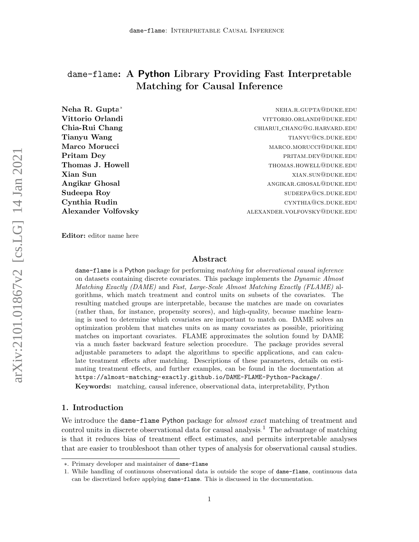# dame-flame: A Python Library Providing Fast Interpretable Matching for Causal Inference

Vittorio Orlandi vittorio. Alexandria vittorio. Vittorio Orlandi vittorio vittorio in vittorio vittorio vittori Chia-Rui Chang chiarui chang chiarui chang chiarui chang chiarui chang chiarui chang chiarui chang chiarui chang Tianyu Wang tiang tiang tiang tiang tiang tiang tiang tiang tiang tiang tiang tiang tiang tiang tiang tiang tiang tiang tiang tiang tiang tiang tiang tiang tiang tiang tiang tiang tiang tiang tiang tiang tiang tiang tiang Marco Morucci **marco.morucci** marco.morucci@duke.edu **Pritam Dey** PRITAM.DEY@DUKE.EDU Thomas J. Howell **thomas** S. Howell thomas S. Howell thomas and the set of the set of the set of the set of the set of the set of the set of the set of the set of the set of the set of the set of the set of the set of the **Xian Sun** xian.sun@duke.edu Angikar Ghosal angikar.ghosal@duke.edu Sudeepa Roy subsettle and the subsettle subsettle subsettle subsettle subsettle subsettle subsettle subsettle Cynthia Rudin cynthia Cynthia Rudin cynthia Cynthia Cynthia Cynthia

Neha R. Gupta<sup>∗</sup> nehara-nehara-nehara-nehara-nehara-nehara-nehara-nehara-nehara-nehara-nehara-nehara-nehara-neh Alexander Volfovsky **alexander** Volfovsky

Editor: editor name here

#### Abstract

dame-flame is a Python package for performing matching for observational causal inference on datasets containing discrete covariates. This package implements the Dynamic Almost Matching Exactly (DAME) and Fast, Large-Scale Almost Matching Exactly (FLAME) algorithms, which match treatment and control units on subsets of the covariates. The resulting matched groups are interpretable, because the matches are made on covariates (rather than, for instance, propensity scores), and high-quality, because machine learning is used to determine which covariates are important to match on. DAME solves an optimization problem that matches units on as many covariates as possible, prioritizing matches on important covariates. FLAME approximates the solution found by DAME via a much faster backward feature selection procedure. The package provides several adjustable parameters to adapt the algorithms to specific applications, and can calculate treatment effects after matching. Descriptions of these parameters, details on estimating treatment effects, and further examples, can be found in the documentation at <https://almost-matching-exactly.github.io/DAME-FLAME-Python-Package/>.

Keywords: matching, causal inference, observational data, interpretability, Python

## 1. Introduction

We introduce the dame-flame Python package for *almost exact* matching of treatment and control units in discrete observational data for causal analysis.<sup>[1](#page-0-0)</sup> The advantage of matching is that it reduces bias of treatment effect estimates, and permits interpretable analyses that are easier to troubleshoot than other types of analysis for observational causal studies.

<sup>∗</sup>. Primary developer and maintainer of dame-flame

<span id="page-0-0"></span><sup>1.</sup> While handling of continuous observational data is outside the scope of dame-flame, continuous data can be discretized before applying dame-flame. This is discussed in the documentation.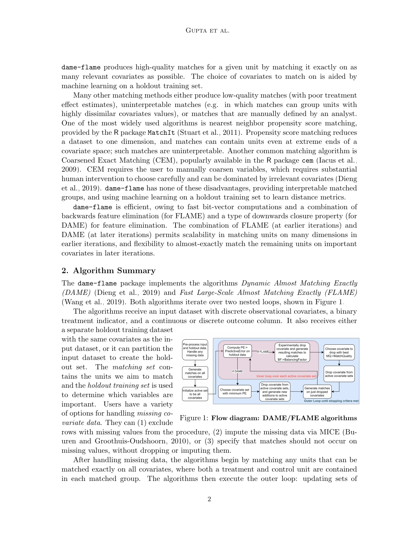dame-flame produces high-quality matches for a given unit by matching it exactly on as many relevant covariates as possible. The choice of covariates to match on is aided by machine learning on a holdout training set.

Many other matching methods either produce low-quality matches (with poor treatment effect estimates), uninterpretable matches (e.g. in which matches can group units with highly dissimilar covariates values), or matches that are manually defined by an analyst. One of the most widely used algorithms is nearest neighbor propensity score matching, provided by the R package MatchIt [\(Stuart et al., 2011\)](#page-4-0). Propensity score matching reduces a dataset to one dimension, and matches can contain units even at extreme ends of a covariate space; such matches are uninterpretable. Another common matching algorithm is Coarsened Exact Matching (CEM), popularly available in the R package cem [\(Iacus et al.,](#page-4-1) [2009\)](#page-4-1). CEM requires the user to manually coarsen variables, which requires substantial human intervention to choose carefully and can be dominated by irrelevant covariates [\(Dieng](#page-4-2) [et al., 2019\)](#page-4-2). dame-flame has none of these disadvantages, providing interpretable matched groups, and using machine learning on a holdout training set to learn distance metrics.

dame-flame is efficient, owing to fast bit-vector computations and a combination of backwards feature elimination (for FLAME) and a type of downwards closure property (for DAME) for feature elimination. The combination of FLAME (at earlier iterations) and DAME (at later iterations) permits scalability in matching units on many dimensions in earlier iterations, and flexibility to almost-exactly match the remaining units on important covariates in later iterations.

## 2. Algorithm Summary

The dame-flame package implements the algorithms Dynamic Almost Matching Exactly (DAME) [\(Dieng et al., 2019\)](#page-4-2) and Fast Large-Scale Almost Matching Exactly (FLAME) [\(Wang et al., 2019\)](#page-4-3). Both algorithms iterate over two nested loops, shown in Figure [1.](#page-1-0)

The algorithms receive an input dataset with discrete observational covariates, a binary treatment indicator, and a continuous or discrete outcome column. It also receives either

a separate holdout training dataset with the same covariates as the input dataset, or it can partition the input dataset to create the holdout set. The matching set contains the units we aim to match and the holdout training set is used to determine which variables are important. Users have a variety of options for handling missing covariate data. They can (1) exclude

<span id="page-1-0"></span>

Figure 1: Flow diagram: DAME/FLAME algorithms

rows with missing values from the procedure, (2) impute the missing data via MICE [\(Bu](#page-4-4)[uren and Groothuis-Oudshoorn, 2010\)](#page-4-4), or (3) specify that matches should not occur on missing values, without dropping or imputing them.

After handling missing data, the algorithms begin by matching any units that can be matched exactly on all covariates, where both a treatment and control unit are contained in each matched group. The algorithms then execute the outer loop: updating sets of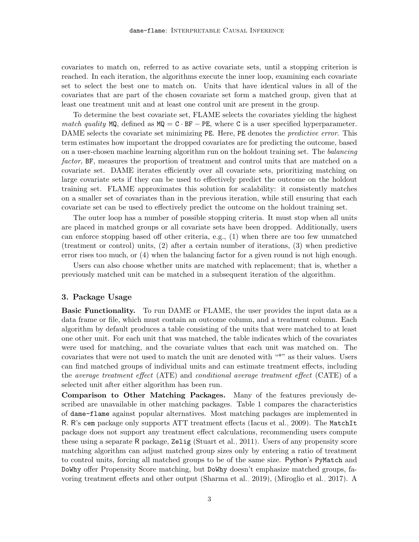covariates to match on, referred to as active covariate sets, until a stopping criterion is reached. In each iteration, the algorithms execute the inner loop, examining each covariate set to select the best one to match on. Units that have identical values in all of the covariates that are part of the chosen covariate set form a matched group, given that at least one treatment unit and at least one control unit are present in the group.

To determine the best covariate set, FLAME selects the covariates yielding the highest match quality MQ, defined as  $MQ = C \cdot BF - PE$ , where C is a user specified hyperparameter. DAME selects the covariate set minimizing PE. Here, PE denotes the *predictive error*. This term estimates how important the dropped covariates are for predicting the outcome, based on a user-chosen machine learning algorithm run on the holdout training set. The balancing factor, BF, measures the proportion of treatment and control units that are matched on a covariate set. DAME iterates efficiently over all covariate sets, prioritizing matching on large covariate sets if they can be used to effectively predict the outcome on the holdout training set. FLAME approximates this solution for scalability: it consistently matches on a smaller set of covariates than in the previous iteration, while still ensuring that each covariate set can be used to effectively predict the outcome on the holdout training set.

The outer loop has a number of possible stopping criteria. It must stop when all units are placed in matched groups or all covariate sets have been dropped. Additionally, users can enforce stopping based off other criteria, e.g., (1) when there are too few unmatched (treatment or control) units, (2) after a certain number of iterations, (3) when predictive error rises too much, or (4) when the balancing factor for a given round is not high enough.

Users can also choose whether units are matched with replacement; that is, whether a previously matched unit can be matched in a subsequent iteration of the algorithm.

## 3. Package Usage

Basic Functionality. To run DAME or FLAME, the user provides the input data as a data frame or file, which must contain an outcome column, and a treatment column. Each algorithm by default produces a table consisting of the units that were matched to at least one other unit. For each unit that was matched, the table indicates which of the covariates were used for matching, and the covariate values that each unit was matched on. The covariates that were not used to match the unit are denoted with "\*" as their values. Users can find matched groups of individual units and can estimate treatment effects, including the average treatment effect (ATE) and conditional average treatment effect (CATE) of a selected unit after either algorithm has been run.

Comparison to Other Matching Packages. Many of the features previously described are unavailable in other matching packages. Table [1](#page-3-0) compares the characteristics of dame-flame against popular alternatives. Most matching packages are implemented in R. R's cem package only supports ATT treatment effects [\(Iacus et al., 2009\)](#page-4-1). The MatchIt package does not support any treatment effect calculations, recommending users compute these using a separate R package, Zelig [\(Stuart et al., 2011\)](#page-4-0). Users of any propensity score matching algorithm can adjust matched group sizes only by entering a ratio of treatment to control units, forcing all matched groups to be of the same size. Python's PyMatch and DoWhy offer Propensity Score matching, but DoWhy doesn't emphasize matched groups, favoring treatment effects and other output [\(Sharma et al., 2019\)](#page-4-5), [\(Miroglio et al., 2017\)](#page-4-6). A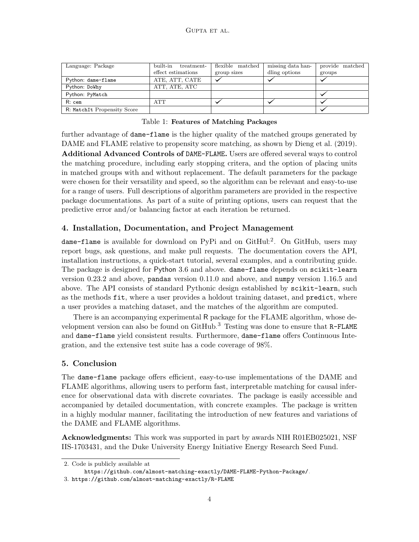<span id="page-3-0"></span>

| Language: Package           | built-in<br>treatment | flexible matched | missing data han- | provide matched |
|-----------------------------|-----------------------|------------------|-------------------|-----------------|
|                             | effect estimations    | group sizes      | dling options     | groups          |
| Python: dame-flame          | ATE, ATT, CATE        |                  |                   |                 |
| Python: DoWhy               | ATT, ATE, ATC         |                  |                   |                 |
| Python: PyMatch             |                       |                  |                   |                 |
| R: cem                      | ATT                   |                  |                   |                 |
| R: MatchIt Propensity Score |                       |                  |                   |                 |

#### Table 1: Features of Matching Packages

further advantage of dame-flame is the higher quality of the matched groups generated by DAME and FLAME relative to propensity score matching, as shown by [Dieng et al.](#page-4-2) [\(2019\)](#page-4-2).

Additional Advanced Controls of DAME-FLAME. Users are offered several ways to control the matching procedure, including early stopping critera, and the option of placing units in matched groups with and without replacement. The default parameters for the package were chosen for their versatility and speed, so the algorithm can be relevant and easy-to-use for a range of users. Full descriptions of algorithm parameters are provided in the respective package documentations. As part of a suite of printing options, users can request that the predictive error and/or balancing factor at each iteration be returned.

## 4. Installation, Documentation, and Project Management

dame-flame is available for download on PyPi and on GitHub<sup>[2](#page-3-1)</sup>. On GitHub, users may report bugs, ask questions, and make pull requests. The documentation covers the API, installation instructions, a quick-start tutorial, several examples, and a contributing guide. The package is designed for Python 3.6 and above. dame-flame depends on scikit-learn version 0.23.2 and above, pandas version 0.11.0 and above, and numpy version 1.16.5 and above. The API consists of standard Pythonic design established by scikit-learn, such as the methods fit, where a user provides a holdout training dataset, and predict, where a user provides a matching dataset, and the matches of the algorithm are computed.

There is an accompanying experimental R package for the FLAME algorithm, whose development version can also be found on  $G$ itHub.<sup>[3](#page-3-2)</sup> Testing was done to ensure that  $R$ -FLAME and dame-flame yield consistent results. Furthermore, dame-flame offers Continuous Integration, and the extensive test suite has a code coverage of 98%.

#### 5. Conclusion

The dame-flame package offers efficient, easy-to-use implementations of the DAME and FLAME algorithms, allowing users to perform fast, interpretable matching for causal inference for observational data with discrete covariates. The package is easily accessible and accompanied by detailed documentation, with concrete examples. The package is written in a highly modular manner, facilitating the introduction of new features and variations of the DAME and FLAME algorithms.

Acknowledgments: This work was supported in part by awards NIH R01EB025021, NSF IIS-1703431, and the Duke University Energy Initiative Energy Research Seed Fund.

<span id="page-3-1"></span><sup>2.</sup> Code is publicly available at

<span id="page-3-2"></span><https://github.com/almost-matching-exactly/DAME-FLAME-Python-Package/>.

<sup>3.</sup> <https://github.com/almost-matching-exactly/R-FLAME>